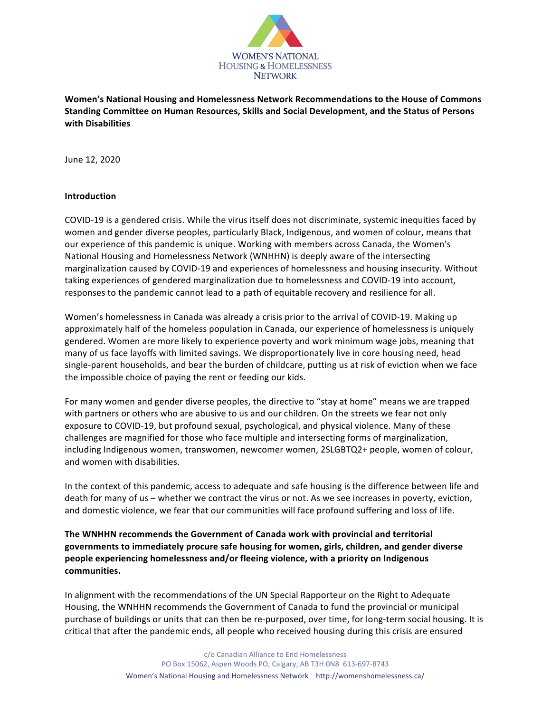

Women's National Housing and Homelessness Network Recommendations to the House of Commons Standing Committee on Human Resources, Skills and Social Development, and the Status of Persons **with Disabilities**

June 12, 2020

#### **Introduction**

COVID-19 is a gendered crisis. While the virus itself does not discriminate, systemic inequities faced by women and gender diverse peoples, particularly Black, Indigenous, and women of colour, means that our experience of this pandemic is unique. Working with members across Canada, the Women's National Housing and Homelessness Network (WNHHN) is deeply aware of the intersecting marginalization caused by COVID-19 and experiences of homelessness and housing insecurity. Without taking experiences of gendered marginalization due to homelessness and COVID-19 into account, responses to the pandemic cannot lead to a path of equitable recovery and resilience for all.

Women's homelessness in Canada was already a crisis prior to the arrival of COVID-19. Making up approximately half of the homeless population in Canada, our experience of homelessness is uniquely gendered. Women are more likely to experience poverty and work minimum wage jobs, meaning that many of us face layoffs with limited savings. We disproportionately live in core housing need, head single-parent households, and bear the burden of childcare, putting us at risk of eviction when we face the impossible choice of paying the rent or feeding our kids.

For many women and gender diverse peoples, the directive to "stay at home" means we are trapped with partners or others who are abusive to us and our children. On the streets we fear not only exposure to COVID-19, but profound sexual, psychological, and physical violence. Many of these challenges are magnified for those who face multiple and intersecting forms of marginalization, including Indigenous women, transwomen, newcomer women, 2SLGBTQ2+ people, women of colour, and women with disabilities.

In the context of this pandemic, access to adequate and safe housing is the difference between life and death for many of us – whether we contract the virus or not. As we see increases in poverty, eviction, and domestic violence, we fear that our communities will face profound suffering and loss of life.

The WNHHN recommends the Government of Canada work with provincial and territorial governments to immediately procure safe housing for women, girls, children, and gender diverse people experiencing homelessness and/or fleeing violence, with a priority on Indigenous **communities.**

In alignment with the recommendations of the UN Special Rapporteur on the Right to Adequate Housing, the WNHHN recommends the Government of Canada to fund the provincial or municipal purchase of buildings or units that can then be re-purposed, over time, for long-term social housing. It is critical that after the pandemic ends, all people who received housing during this crisis are ensured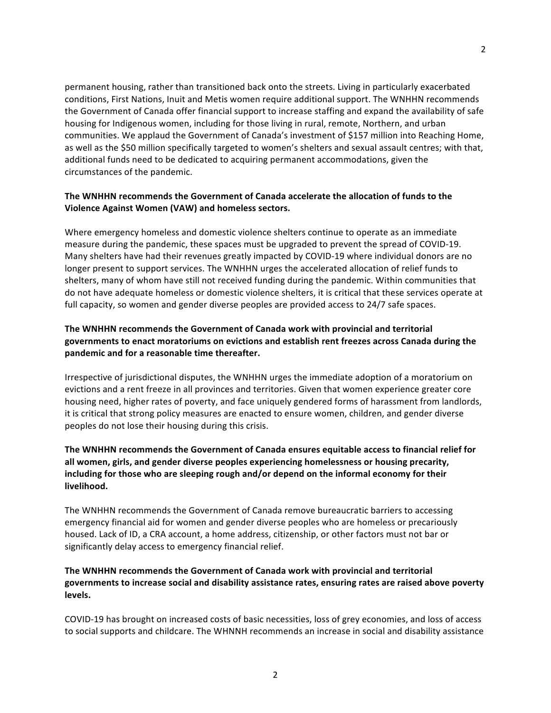permanent housing, rather than transitioned back onto the streets. Living in particularly exacerbated conditions, First Nations, Inuit and Metis women require additional support. The WNHHN recommends the Government of Canada offer financial support to increase staffing and expand the availability of safe housing for Indigenous women, including for those living in rural, remote, Northern, and urban communities. We applaud the Government of Canada's investment of \$157 million into Reaching Home, as well as the \$50 million specifically targeted to women's shelters and sexual assault centres; with that, additional funds need to be dedicated to acquiring permanent accommodations, given the circumstances of the pandemic.

#### **The WNHHN recommends the Government of Canada accelerate the allocation of funds to the Violence Against Women (VAW) and homeless sectors.**

Where emergency homeless and domestic violence shelters continue to operate as an immediate measure during the pandemic, these spaces must be upgraded to prevent the spread of COVID-19. Many shelters have had their revenues greatly impacted by COVID-19 where individual donors are no longer present to support services. The WNHHN urges the accelerated allocation of relief funds to shelters, many of whom have still not received funding during the pandemic. Within communities that do not have adequate homeless or domestic violence shelters, it is critical that these services operate at full capacity, so women and gender diverse peoples are provided access to 24/7 safe spaces.

## The WNHHN recommends the Government of Canada work with provincial and territorial governments to enact moratoriums on evictions and establish rent freezes across Canada during the pandemic and for a reasonable time thereafter.

Irrespective of jurisdictional disputes, the WNHHN urges the immediate adoption of a moratorium on evictions and a rent freeze in all provinces and territories. Given that women experience greater core housing need, higher rates of poverty, and face uniquely gendered forms of harassment from landlords, it is critical that strong policy measures are enacted to ensure women, children, and gender diverse peoples do not lose their housing during this crisis.

### The WNHHN recommends the Government of Canada ensures equitable access to financial relief for all women, girls, and gender diverse peoples experiencing homelessness or housing precarity, including for those who are sleeping rough and/or depend on the informal economy for their **livelihood.**

The WNHHN recommends the Government of Canada remove bureaucratic barriers to accessing emergency financial aid for women and gender diverse peoples who are homeless or precariously housed. Lack of ID, a CRA account, a home address, citizenship, or other factors must not bar or significantly delay access to emergency financial relief.

## The WNHHN recommends the Government of Canada work with provincial and territorial governments to increase social and disability assistance rates, ensuring rates are raised above poverty **levels.**

COVID-19 has brought on increased costs of basic necessities, loss of grey economies, and loss of access to social supports and childcare. The WHNNH recommends an increase in social and disability assistance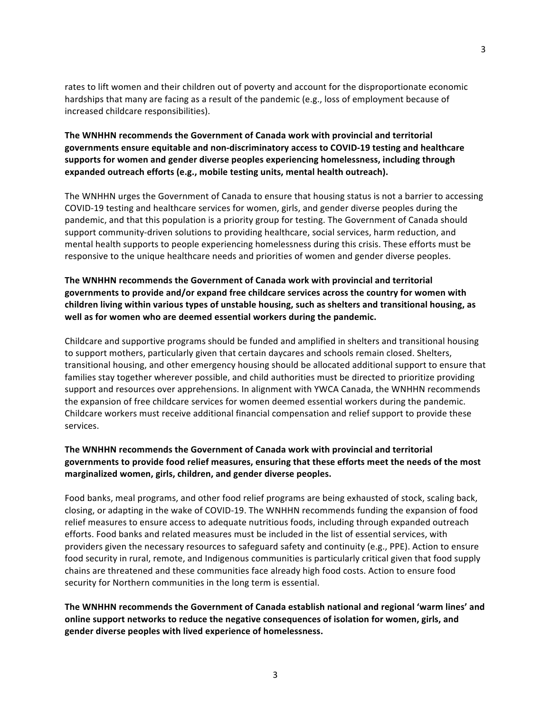rates to lift women and their children out of poverty and account for the disproportionate economic hardships that many are facing as a result of the pandemic (e.g., loss of employment because of increased childcare responsibilities).

#### **The WNHHN recommends the Government of Canada work with provincial and territorial** governments ensure equitable and non-discriminatory access to COVID-19 testing and healthcare supports for women and gender diverse peoples experiencing homelessness, including through expanded outreach efforts (e.g., mobile testing units, mental health outreach).

The WNHHN urges the Government of Canada to ensure that housing status is not a barrier to accessing COVID-19 testing and healthcare services for women, girls, and gender diverse peoples during the pandemic, and that this population is a priority group for testing. The Government of Canada should support community-driven solutions to providing healthcare, social services, harm reduction, and mental health supports to people experiencing homelessness during this crisis. These efforts must be responsive to the unique healthcare needs and priorities of women and gender diverse peoples.

### **The WNHHN recommends the Government of Canada work with provincial and territorial** governments to provide and/or expand free childcare services across the country for women with children living within various types of unstable housing, such as shelters and transitional housing, as well as for women who are deemed essential workers during the pandemic.

Childcare and supportive programs should be funded and amplified in shelters and transitional housing to support mothers, particularly given that certain daycares and schools remain closed. Shelters, transitional housing, and other emergency housing should be allocated additional support to ensure that families stay together wherever possible, and child authorities must be directed to prioritize providing support and resources over apprehensions. In alignment with YWCA Canada, the WNHHN recommends the expansion of free childcare services for women deemed essential workers during the pandemic. Childcare workers must receive additional financial compensation and relief support to provide these services.

## The WNHHN recommends the Government of Canada work with provincial and territorial governments to provide food relief measures, ensuring that these efforts meet the needs of the most **marginalized women, girls, children, and gender diverse peoples.**

Food banks, meal programs, and other food relief programs are being exhausted of stock, scaling back, closing, or adapting in the wake of COVID-19. The WNHHN recommends funding the expansion of food relief measures to ensure access to adequate nutritious foods, including through expanded outreach efforts. Food banks and related measures must be included in the list of essential services, with providers given the necessary resources to safeguard safety and continuity (e.g., PPE). Action to ensure food security in rural, remote, and Indigenous communities is particularly critical given that food supply chains are threatened and these communities face already high food costs. Action to ensure food security for Northern communities in the long term is essential.

The WNHHN recommends the Government of Canada establish national and regional 'warm lines' and online support networks to reduce the negative consequences of isolation for women, girls, and **gender diverse peoples with lived experience of homelessness.**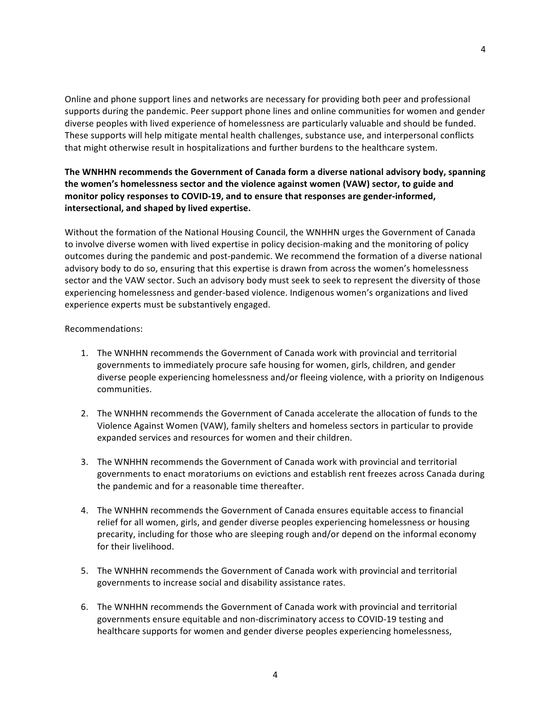Online and phone support lines and networks are necessary for providing both peer and professional supports during the pandemic. Peer support phone lines and online communities for women and gender diverse peoples with lived experience of homelessness are particularly valuable and should be funded. These supports will help mitigate mental health challenges, substance use, and interpersonal conflicts that might otherwise result in hospitalizations and further burdens to the healthcare system.

4

# The WNHHN recommends the Government of Canada form a diverse national advisory body, spanning the women's homelessness sector and the violence against women (VAW) sector, to guide and monitor policy responses to COVID-19, and to ensure that responses are gender-informed, **intersectional, and shaped by lived expertise.**

Without the formation of the National Housing Council, the WNHHN urges the Government of Canada to involve diverse women with lived expertise in policy decision-making and the monitoring of policy outcomes during the pandemic and post-pandemic. We recommend the formation of a diverse national advisory body to do so, ensuring that this expertise is drawn from across the women's homelessness sector and the VAW sector. Such an advisory body must seek to seek to represent the diversity of those experiencing homelessness and gender-based violence. Indigenous women's organizations and lived experience experts must be substantively engaged.

Recommendations:

- 1. The WNHHN recommends the Government of Canada work with provincial and territorial governments to immediately procure safe housing for women, girls, children, and gender diverse people experiencing homelessness and/or fleeing violence, with a priority on Indigenous communities.
- 2. The WNHHN recommends the Government of Canada accelerate the allocation of funds to the Violence Against Women (VAW), family shelters and homeless sectors in particular to provide expanded services and resources for women and their children.
- 3. The WNHHN recommends the Government of Canada work with provincial and territorial governments to enact moratoriums on evictions and establish rent freezes across Canada during the pandemic and for a reasonable time thereafter.
- 4. The WNHHN recommends the Government of Canada ensures equitable access to financial relief for all women, girls, and gender diverse peoples experiencing homelessness or housing precarity, including for those who are sleeping rough and/or depend on the informal economy for their livelihood.
- 5. The WNHHN recommends the Government of Canada work with provincial and territorial governments to increase social and disability assistance rates.
- 6. The WNHHN recommends the Government of Canada work with provincial and territorial governments ensure equitable and non-discriminatory access to COVID-19 testing and healthcare supports for women and gender diverse peoples experiencing homelessness,